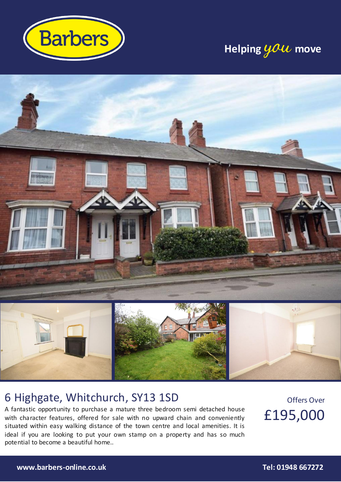

## **Helping you move**



### 6 Highgate, Whitchurch, SY13 1SD

A fantastic opportunity to purchase a mature three bedroom semi detached house with character features, offered for sale with no upward chain and conveniently situated within easy walking distance of the town centre and local amenities. It is ideal if you are looking to put your own stamp on a property and has so much potential to become a beautiful home..

Offers Over £195,000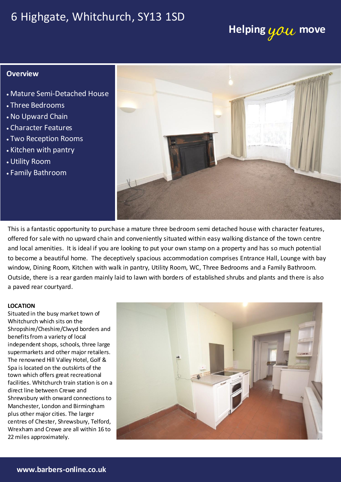### 6 Highgate, Whitchurch, SY13 1SD

# **Helping you move**

### **Overview**

- Mature Semi-Detached House
- Three Bedrooms
- No Upward Chain
- Character Features
- Two Reception Rooms
- Kitchen with pantry
- Utility Room
- Family Bathroom



This is a fantastic opportunity to purchase a mature three bedroom semi detached house with character features, offered for sale with no upward chain and conveniently situated within easy walking distance of the town centre and local amenities. It is ideal if you are looking to put your own stamp on a property and has so much potential to become a beautiful home. The deceptively spacious accommodation comprises Entrance Hall, Lounge with bay window, Dining Room, Kitchen with walk in pantry, Utility Room, WC, Three Bedrooms and a Family Bathroom. Outside, there is a rear garden mainly laid to lawn with borders of established shrubs and plants and there is also a paved rear courtyard.

#### **LOCATION**

Situated in the busy market town of Whitchurch which sits on the Shropshire/Cheshire/Clwyd borders and benefits from a variety of local independent shops, schools, three large supermarkets and other major retailers. The renowned Hill Valley Hotel, Golf & Spa is located on the outskirts of the town which offers great recreational facilities. Whitchurch train station is on a direct line between Crewe and Shrewsbury with onward connections to Manchester, London and Birmingham plus other major cities. The larger centres of Chester, Shrewsbury, Telford, Wrexham and Crewe are all within 16 to 22 miles approximately.

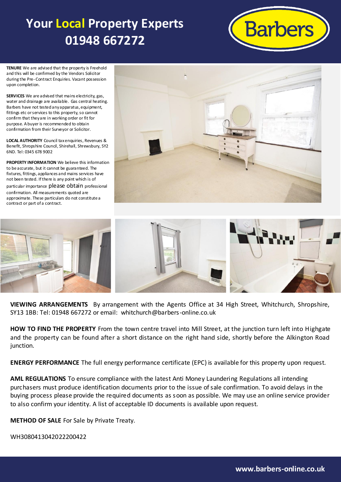## **Your Local Property Experts 01948 667272**



**TENURE** We are advised that the property is Freehold and this will be confirmed by the Vendors Solicitor during the Pre- Contract Enquiries. Vacant possession upon completion.

**SERVICES** We are advised that mains electricity, gas, water and drainage are available. Gas central heating. Barbers have not tested any apparatus, equipment, fittings etc or services to this property, so cannot confirm that they are in working order or fit for purpose. A buyer is recommended to obtain confirmation from their Surveyor or Solicitor.

**LOCAL AUTHORITY** Council tax enquiries, Revenues & Benefit, Shropshire Council, Shirehall, Shrewsbury, SY2 6ND. Tel: 0345 678 9002

**PROPERTY INFORMATION** We believe this information to be accurate, but it cannot be guaranteed. The fixtures, fittings, appliances and mains services have not been tested. If there is any point which is of particular importance please obtain professional confirmation. All measurements quoted are approximate. These particulars do not constitute a contract or part of a contract.





**VIEWING ARRANGEMENTS** By arrangement with the Agents Office at 34 High Street, Whitchurch, Shropshire, SY13 1BB: Tel: 01948 667272 or email: whitchurch@barbers-online.co.uk

**HOW TO FIND THE PROPERTY** From the town centre travel into Mill Street, at the junction turn left into Highgate and the property can be found after a short distance on the right hand side, shortly before the Alkington Road junction.

**ENERGY PERFORMANCE** The full energy performance certificate (EPC) is available for this property upon request.

**AML REGULATIONS** To ensure compliance with the latest Anti Money Laundering Regulations all intending purchasers must produce identification documents prior to the issue of sale confirmation. To avoid delays in the buying process please provide the required documents as soon as possible. We may use an online service provider to also confirm your identity. A list of acceptable ID documents is available upon request.

**METHOD OF SALE** For Sale by Private Treaty.

WH3080413042022200422